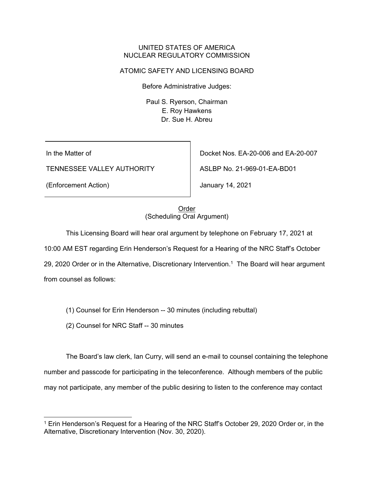#### UNITED STATES OF AMERICA NUCLEAR REGULATORY COMMISSION

## ATOMIC SAFETY AND LICENSING BOARD

Before Administrative Judges:

Paul S. Ryerson, Chairman E. Roy Hawkens Dr. Sue H. Abreu

In the Matter of

TENNESSEE VALLEY AUTHORITY

(Enforcement Action)

Docket Nos. EA-20-006 and EA-20-007

ASLBP No. 21-969-01-EA-BD01

January 14, 2021

# Order (Scheduling Oral Argument)

This Licensing Board will hear oral argument by telephone on February 17, 2021 at

10:00 AM EST regarding Erin Henderson's Request for a Hearing of the NRC Staff's October

29, 2020 Order or in the Alternative, Discretionary Intervention.<sup>1</sup> The Board will hear argument

from counsel as follows:

(1) Counsel for Erin Henderson -- 30 minutes (including rebuttal)

(2) Counsel for NRC Staff -- 30 minutes

The Board's law clerk, Ian Curry, will send an e-mail to counsel containing the telephone number and passcode for participating in the teleconference. Although members of the public may not participate, any member of the public desiring to listen to the conference may contact

<sup>1</sup> Erin Henderson's Request for a Hearing of the NRC Staff's October 29, 2020 Order or, in the Alternative, Discretionary Intervention (Nov. 30, 2020).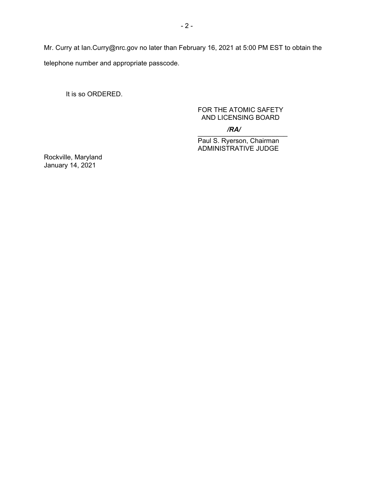Mr. Curry at Ian.Curry@nrc.gov no later than February 16, 2021 at 5:00 PM EST to obtain the telephone number and appropriate passcode.

It is so ORDERED.

### FOR THE ATOMIC SAFETY AND LICENSING BOARD

#### $\overline{\phantom{a}}$ */RA/*

Paul S. Ryerson, Chairman ADMINISTRATIVE JUDGE

Rockville, Maryland January 14, 2021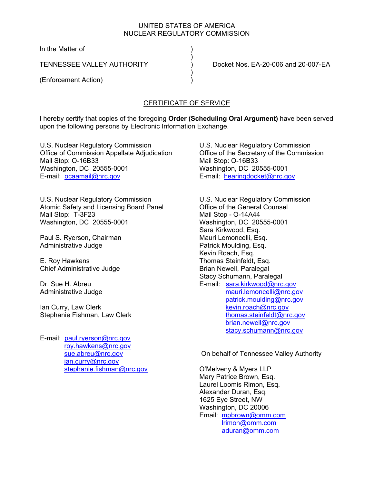### UNITED STATES OF AMERICA NUCLEAR REGULATORY COMMISSION

In the Matter of )

 $)$ 

 $)$ 

(Enforcement Action) )

TENNESSEE VALLEY AUTHORITY ) Docket Nos. EA-20-006 and 20-007-EA

# CERTIFICATE OF SERVICE

I hereby certify that copies of the foregoing **Order (Scheduling Oral Argument)** have been served upon the following persons by Electronic Information Exchange.

U.S. Nuclear Regulatory Commission Office of Commission Appellate Adjudication Mail Stop: O-16B33 Washington, DC 20555-0001 E-mail: ocaamail@nrc.gov

U.S. Nuclear Regulatory Commission Atomic Safety and Licensing Board Panel Mail Stop: T-3F23 Washington, DC 20555-0001

Paul S. Ryerson, Chairman Administrative Judge

E. Roy Hawkens Chief Administrative Judge

Dr. Sue H. Abreu Administrative Judge

Ian Curry, Law Clerk Stephanie Fishman, Law Clerk

E-mail: paul.ryerson@nrc.gov roy.hawkens@nrc.gov sue.abreu@nrc.gov ian.curry@nrc.gov stephanie.fishman@nrc.gov U.S. Nuclear Regulatory Commission Office of the Secretary of the Commission Mail Stop: O-16B33 Washington, DC 20555-0001 E-mail: hearingdocket@nrc.gov

U.S. Nuclear Regulatory Commission Office of the General Counsel Mail Stop - O-14A44 Washington, DC 20555-0001 Sara Kirkwood, Esq. Mauri Lemoncelli, Esq. Patrick Moulding, Esq. Kevin Roach, Esq. Thomas Steinfeldt, Esq. Brian Newell, Paralegal Stacy Schumann, Paralegal E-mail: sara.kirkwood@nrc.gov mauri.lemoncelli@nrc.gov patrick.moulding@nrc.gov kevin.roach@nrc.gov thomas.steinfeldt@nrc.gov brian.newell@nrc.gov stacy.schumann@nrc.gov

On behalf of Tennessee Valley Authority

O'Melveny & Myers LLP Mary Patrice Brown, Esq. Laurel Loomis Rimon, Esq. Alexander Duran, Esq. 1625 Eye Street, NW Washington, DC 20006 Email: mpbrown@omm.com lrimon@omm.com aduran@omm.com